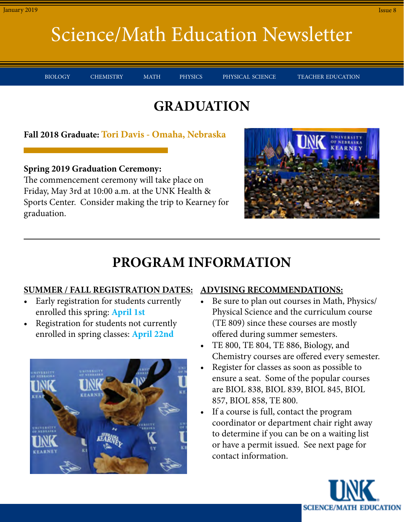BIOLOGY CHEMISTRY MATH PHYSICS PHYSICAL-SCIENCE TEACHER-EDUCATION

#### **GRADUATION**

**Fall 2018 Graduate: Tori Davis - Omaha, Nebraska**

**Spring 2019 Graduation Ceremony:**

The commencement ceremony will take place on Friday, May 3rd at 10:00 a.m. at the UNK Health & Sports Center. Consider making the trip to Kearney for graduation.



### **PROGRAM INFORMATION**

#### **SUMMER / FALL REGISTRATION DATES:**

- Early registration for students currently enrolled this spring: **April 1st**
- Registration for students not currently enrolled in spring classes: **April 22nd**



#### **ADVISING RECOMMENDATIONS:**

- Be sure to plan out courses in Math, Physics/ Physical Science and the curriculum course (TE 809) since these courses are mostly offered during summer semesters.
- TE 800, TE 804, TE 886, Biology, and Chemistry courses are offered every semester.
- Register for classes as soon as possible to ensure a seat. Some of the popular courses are BIOL 838, BIOL 839, BIOL 845, BIOL 857, BIOL 858, TE 800.
- If a course is full, contact the program coordinator or department chair right away to determine if you can be on a waiting list or have a permit issued. See next page for contact information.

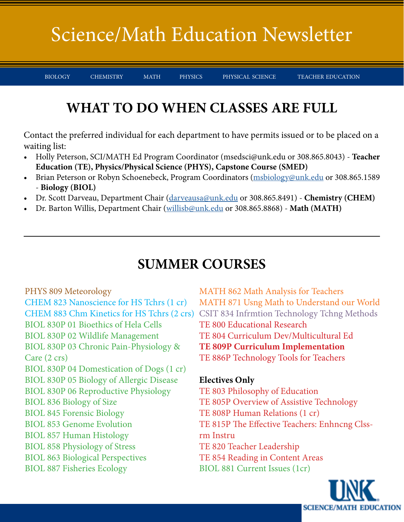BIOLOGY CHEMISTRY MATH PHYSICS PHYSICAL-SCIENCE TEACHER-EDUCATION

### **WHAT TO DO WHEN CLASSES ARE FULL**

Contact the preferred individual for each department to have permits issued or to be placed on a waiting list:

- Holly Peterson, SCI/MATH Ed Program Coordinator (msedsci@unk.edu or 308.865.8043) **Teacher Education (TE), Physics/Physical Science (PHYS), Capstone Course (SMED)**
- Brian Peterson or Robyn Schoenebeck, Program Coordinators (msbiology@unk.edu or 308.865.1589 - **Biology (BIOL)**
- Dr. Scott Darveau, Department Chair (darveausa@unk.edu or 308.865.8491) **Chemistry (CHEM)**
- Dr. Barton Willis, Department Chair (willisb@unk.edu or 308.865.8868) **Math (MATH)**

#### **SUMMER COURSES**

PHYS 809 Meteorology CHEM 823 Nanoscience for HS Tchrs (1 cr) BIOL 830P 01 Bioethics of Hela Cells BIOL 830P 02 Wildlife Management BIOL 830P 03 Chronic Pain-Physiology & Care (2 crs) BIOL 830P 04 Domestication of Dogs (1 cr) BIOL 830P 05 Biology of Allergic Disease BIOL 830P 06 Reproductive Physiology BIOL 836 Biology of Size BIOL 845 Forensic Biology BIOL 853 Genome Evolution BIOL 857 Human Histology BIOL 858 Physiology of Stress BIOL 863 Biological Perspectives BIOL 887 Fisheries Ecology

MATH 862 Math Analysis for Teachers MATH 871 Usng Math to Understand our World CHEM 883 Chm Kinetics for HS Tchrs (2 crs) CSIT 834 Infrmtion Technology Tchng Methods TE 800 Educational Research TE 804 Curriculum Dev/Multicultural Ed **TE 809P Curriculum Implementation** TE 886P Technology Tools for Teachers

#### **Electives Only**

TE 803 Philosophy of Education TE 805P Overview of Assistive Technology TE 808P Human Relations (1 cr) TE 815P The Effective Teachers: Enhncng Clssrm Instru TE 820 Teacher Leadership TE 854 Reading in Content Areas BIOL 881 Current Issues (1cr)

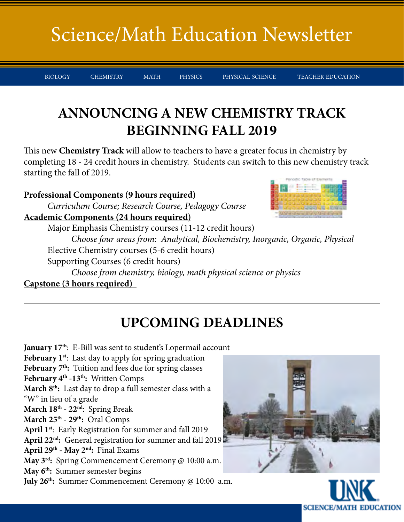BIOLOGY CHEMISTRY MATH PHYSICS PHYSICAL-SCIENCE TEACHER-EDUCATION

### **ANNOUNCING A NEW CHEMISTRY TRACK BEGINNING FALL 2019**

This new **Chemistry Track** will allow to teachers to have a greater focus in chemistry by completing 18 - 24 credit hours in chemistry. Students can switch to this new chemistry track starting the fall of 2019.

#### **Professional Components (9 hours required)**

*Curriculum Course; Research Course, Pedagogy Course*  **Academic Components (24 hours required)**

Major Emphasis Chemistry courses (11-12 credit hours)

 *Choose four areas from: Analytical, Biochemistry, Inorganic, Organic, Physical* Elective Chemistry courses (5-6 credit hours)

Supporting Courses (6 credit hours)

 *Choose from chemistry, biology, math physical science or physics* **Capstone (3 hours required)** 

### **UPCOMING DEADLINES**

January 17<sup>th</sup>: E-Bill was sent to student's Lopermail account February 1<sup>st</sup>: Last day to apply for spring graduation February 7<sup>th</sup>: Tuition and fees due for spring classes February 4<sup>th</sup> -13<sup>th</sup>: Written Comps March 8<sup>th</sup>: Last day to drop a full semester class with a "W" in lieu of a grade **March 18th - 22nd**: Spring Break **March 25th - 29th:** Oral Comps **April 1st**: Early Registration for summer and fall 2019 **April 22nd:** General registration for summer and fall 2019 **April 29th - May 2nd:** Final Exams **May 3rd:** Spring Commencement Ceremony @ 10:00 a.m. **May 6th:** Summer semester begins **July 26th:** Summer Commencement Ceremony @ 10:00 a.m.



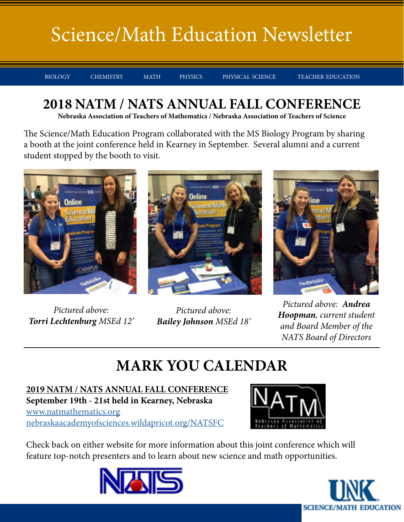BIOLOGY CHEMISTRY MATH PHYSICS PHYSICAL-SCIENCE TEACHER-EDUCATION

### **2018 NATM / NATS ANNUAL FALL CONFERENCE**

**Nebraska Association of Teachers of Mathematics / Nebraska Association of Teachers of Science**

The Science/Math Education Program collaborated with the MS Biology Program by sharing a booth at the joint conference held in Kearney in September. Several alumni and a current student stopped by the booth to visit.



*Pictured above: Torri Lechtenburg MSEd 12'*



*Pictured above: Bailey Johnson MSEd 18'*



*Pictured above: Andrea Hoopman, current student and Board Member of the NATS Board of Directors*

## **MARK YOU CALENDAR**

**2019 NATM / NATS ANNUAL FALL CONFERENCE September 19th - 21st held in Kearney, Nebraska** [www.natmathematics.org](http://www.natmathematics.org) [nebraskaacademyofsciences.wildapricot.org/NATSFC](http://nebraskaacademyofsciences.wildapricot.org/NATSFC)



Check back on either website for more information about this joint conference which will feature top-notch presenters and to learn about new science and math opportunities.